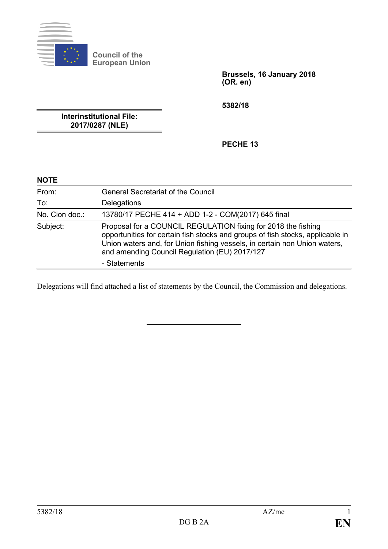

**Council of the European Union**

> **Brussels, 16 January 2018 (OR. en)**

**5382/18**

**Interinstitutional File: 2017/0287 (NLE)**

**PECHE 13**

| <b>NOTE</b>    |                                                                                                                                                                                                                                                                               |
|----------------|-------------------------------------------------------------------------------------------------------------------------------------------------------------------------------------------------------------------------------------------------------------------------------|
| From:          | <b>General Secretariat of the Council</b>                                                                                                                                                                                                                                     |
| To:            | Delegations                                                                                                                                                                                                                                                                   |
| No. Cion doc.: | 13780/17 PECHE 414 + ADD 1-2 - COM(2017) 645 final                                                                                                                                                                                                                            |
| Subject:       | Proposal for a COUNCIL REGULATION fixing for 2018 the fishing<br>opportunities for certain fish stocks and groups of fish stocks, applicable in<br>Union waters and, for Union fishing vessels, in certain non Union waters,<br>and amending Council Regulation (EU) 2017/127 |
|                | - Statements                                                                                                                                                                                                                                                                  |

Delegations will find attached a list of statements by the Council, the Commission and delegations.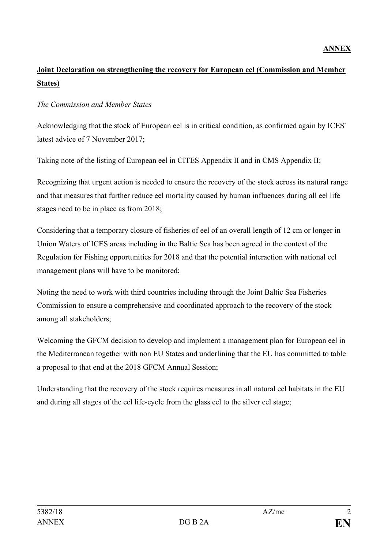# **Joint Declaration on strengthening the recovery for European eel (Commission and Member States)**

#### *The Commission and Member States*

Acknowledging that the stock of European eel is in critical condition, as confirmed again by ICES' latest advice of 7 November 2017;

Taking note of the listing of European eel in CITES Appendix II and in CMS Appendix II;

Recognizing that urgent action is needed to ensure the recovery of the stock across its natural range and that measures that further reduce eel mortality caused by human influences during all eel life stages need to be in place as from 2018;

Considering that a temporary closure of fisheries of eel of an overall length of 12 cm or longer in Union Waters of ICES areas including in the Baltic Sea has been agreed in the context of the Regulation for Fishing opportunities for 2018 and that the potential interaction with national eel management plans will have to be monitored;

Noting the need to work with third countries including through the Joint Baltic Sea Fisheries Commission to ensure a comprehensive and coordinated approach to the recovery of the stock among all stakeholders;

Welcoming the GFCM decision to develop and implement a management plan for European eel in the Mediterranean together with non EU States and underlining that the EU has committed to table a proposal to that end at the 2018 GFCM Annual Session;

Understanding that the recovery of the stock requires measures in all natural eel habitats in the EU and during all stages of the eel life-cycle from the glass eel to the silver eel stage;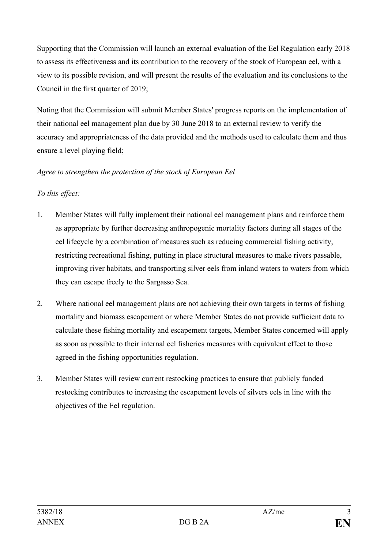Supporting that the Commission will launch an external evaluation of the Eel Regulation early 2018 to assess its effectiveness and its contribution to the recovery of the stock of European eel, with a view to its possible revision, and will present the results of the evaluation and its conclusions to the Council in the first quarter of 2019;

Noting that the Commission will submit Member States' progress reports on the implementation of their national eel management plan due by 30 June 2018 to an external review to verify the accuracy and appropriateness of the data provided and the methods used to calculate them and thus ensure a level playing field;

## *Agree to strengthen the protection of the stock of European Eel*

## *To this effect:*

- 1. Member States will fully implement their national eel management plans and reinforce them as appropriate by further decreasing anthropogenic mortality factors during all stages of the eel lifecycle by a combination of measures such as reducing commercial fishing activity, restricting recreational fishing, putting in place structural measures to make rivers passable, improving river habitats, and transporting silver eels from inland waters to waters from which they can escape freely to the Sargasso Sea.
- 2. Where national eel management plans are not achieving their own targets in terms of fishing mortality and biomass escapement or where Member States do not provide sufficient data to calculate these fishing mortality and escapement targets, Member States concerned will apply as soon as possible to their internal eel fisheries measures with equivalent effect to those agreed in the fishing opportunities regulation.
- 3. Member States will review current restocking practices to ensure that publicly funded restocking contributes to increasing the escapement levels of silvers eels in line with the objectives of the Eel regulation.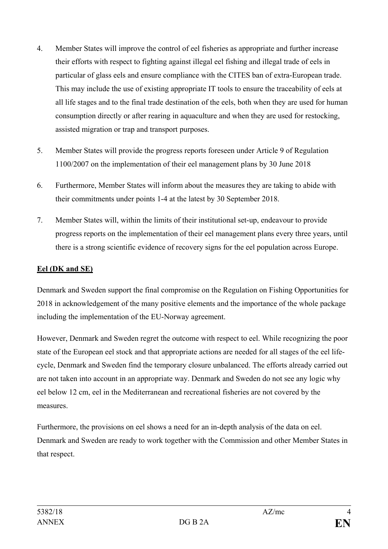- 4. Member States will improve the control of eel fisheries as appropriate and further increase their efforts with respect to fighting against illegal eel fishing and illegal trade of eels in particular of glass eels and ensure compliance with the CITES ban of extra-European trade. This may include the use of existing appropriate IT tools to ensure the traceability of eels at all life stages and to the final trade destination of the eels, both when they are used for human consumption directly or after rearing in aquaculture and when they are used for restocking, assisted migration or trap and transport purposes.
- 5. Member States will provide the progress reports foreseen under Article 9 of Regulation 1100/2007 on the implementation of their eel management plans by 30 June 2018
- 6. Furthermore, Member States will inform about the measures they are taking to abide with their commitments under points 1-4 at the latest by 30 September 2018.
- 7. Member States will, within the limits of their institutional set-up, endeavour to provide progress reports on the implementation of their eel management plans every three years, until there is a strong scientific evidence of recovery signs for the eel population across Europe.

## **Eel (DK and SE)**

Denmark and Sweden support the final compromise on the Regulation on Fishing Opportunities for 2018 in acknowledgement of the many positive elements and the importance of the whole package including the implementation of the EU-Norway agreement.

However, Denmark and Sweden regret the outcome with respect to eel. While recognizing the poor state of the European eel stock and that appropriate actions are needed for all stages of the eel lifecycle, Denmark and Sweden find the temporary closure unbalanced. The efforts already carried out are not taken into account in an appropriate way. Denmark and Sweden do not see any logic why eel below 12 cm, eel in the Mediterranean and recreational fisheries are not covered by the measures.

Furthermore, the provisions on eel shows a need for an in-depth analysis of the data on eel. Denmark and Sweden are ready to work together with the Commission and other Member States in that respect.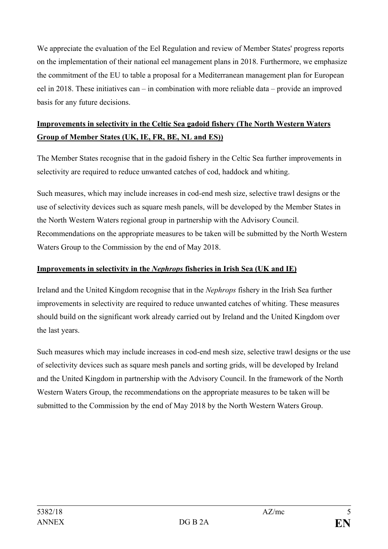We appreciate the evaluation of the Eel Regulation and review of Member States' progress reports on the implementation of their national eel management plans in 2018. Furthermore, we emphasize the commitment of the EU to table a proposal for a Mediterranean management plan for European eel in 2018. These initiatives can – in combination with more reliable data – provide an improved basis for any future decisions.

# **Improvements in selectivity in the Celtic Sea gadoid fishery (The North Western Waters Group of Member States (UK, IE, FR, BE, NL and ES))**

The Member States recognise that in the gadoid fishery in the Celtic Sea further improvements in selectivity are required to reduce unwanted catches of cod, haddock and whiting.

Such measures, which may include increases in cod-end mesh size, selective trawl designs or the use of selectivity devices such as square mesh panels, will be developed by the Member States in the North Western Waters regional group in partnership with the Advisory Council. Recommendations on the appropriate measures to be taken will be submitted by the North Western Waters Group to the Commission by the end of May 2018.

#### **Improvements in selectivity in the** *Nephrops* **fisheries in Irish Sea (UK and IE)**

Ireland and the United Kingdom recognise that in the *Nephrops* fishery in the Irish Sea further improvements in selectivity are required to reduce unwanted catches of whiting. These measures should build on the significant work already carried out by Ireland and the United Kingdom over the last years.

Such measures which may include increases in cod-end mesh size, selective trawl designs or the use of selectivity devices such as square mesh panels and sorting grids, will be developed by Ireland and the United Kingdom in partnership with the Advisory Council. In the framework of the North Western Waters Group, the recommendations on the appropriate measures to be taken will be submitted to the Commission by the end of May 2018 by the North Western Waters Group.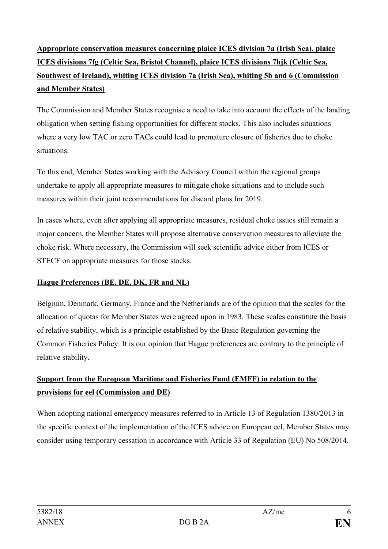# **Appropriate conservation measures concerning plaice ICES division 7a (Irish Sea), plaice ICES divisions 7fg (Celtic Sea, Bristol Channel), plaice ICES divisions 7hjk (Celtic Sea, Southwest of Ireland), whiting ICES division 7a (Irish Sea), whiting 5b and 6 (Commission and Member States)**

The Commission and Member States recognise a need to take into account the effects of the landing obligation when setting fishing opportunities for different stocks. This also includes situations where a very low TAC or zero TACs could lead to premature closure of fisheries due to choke situations.

To this end, Member States working with the Advisory Council within the regional groups undertake to apply all appropriate measures to mitigate choke situations and to include such measures within their joint recommendations for discard plans for 2019.

In cases where, even after applying all appropriate measures, residual choke issues still remain a major concern, the Member States will propose alternative conservation measures to alleviate the choke risk. Where necessary, the Commission will seek scientific advice either from ICES or STECF on appropriate measures for those stocks.

# **Hague Preferences (BE, DE, DK, FR and NL)**

Belgium, Denmark, Germany, France and the Netherlands are of the opinion that the scales for the allocation of quotas for Member States were agreed upon in 1983. These scales constitute the basis of relative stability, which is a principle established by the Basic Regulation governing the Common Fisheries Policy. It is our opinion that Hague preferences are contrary to the principle of relative stability.

# **Support from the European Maritime and Fisheries Fund (EMFF) in relation to the provisions for eel (Commission and DE)**

When adopting national emergency measures referred to in Article 13 of Regulation 1380/2013 in the specific context of the implementation of the ICES advice on European eel, Member States may consider using temporary cessation in accordance with Article 33 of Regulation (EU) No 508/2014.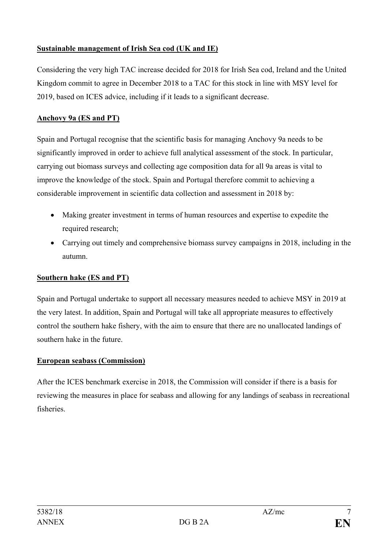#### **Sustainable management of Irish Sea cod (UK and IE)**

Considering the very high TAC increase decided for 2018 for Irish Sea cod, Ireland and the United Kingdom commit to agree in December 2018 to a TAC for this stock in line with MSY level for 2019, based on ICES advice, including if it leads to a significant decrease.

## **Anchovy 9a (ES and PT)**

Spain and Portugal recognise that the scientific basis for managing Anchovy 9a needs to be significantly improved in order to achieve full analytical assessment of the stock. In particular, carrying out biomass surveys and collecting age composition data for all 9a areas is vital to improve the knowledge of the stock. Spain and Portugal therefore commit to achieving a considerable improvement in scientific data collection and assessment in 2018 by:

- Making greater investment in terms of human resources and expertise to expedite the required research;
- Carrying out timely and comprehensive biomass survey campaigns in 2018, including in the autumn.

# **Southern hake (ES and PT)**

Spain and Portugal undertake to support all necessary measures needed to achieve MSY in 2019 at the very latest. In addition, Spain and Portugal will take all appropriate measures to effectively control the southern hake fishery, with the aim to ensure that there are no unallocated landings of southern hake in the future.

#### **European seabass (Commission)**

After the ICES benchmark exercise in 2018, the Commission will consider if there is a basis for reviewing the measures in place for seabass and allowing for any landings of seabass in recreational fisheries.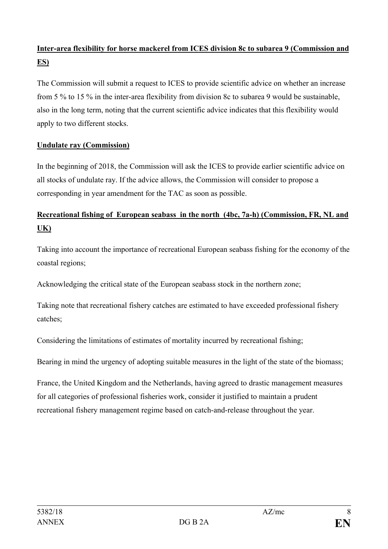# **Inter-area flexibility for horse mackerel from ICES division 8c to subarea 9 (Commission and ES)**

The Commission will submit a request to ICES to provide scientific advice on whether an increase from 5 % to 15 % in the inter-area flexibility from division 8c to subarea 9 would be sustainable, also in the long term, noting that the current scientific advice indicates that this flexibility would apply to two different stocks.

#### **Undulate ray (Commission)**

In the beginning of 2018, the Commission will ask the ICES to provide earlier scientific advice on all stocks of undulate ray. If the advice allows, the Commission will consider to propose a corresponding in year amendment for the TAC as soon as possible.

# **Recreational fishing of European seabass in the north (4bc, 7a-h) (Commission, FR, NL and UK)**

Taking into account the importance of recreational European seabass fishing for the economy of the coastal regions;

Acknowledging the critical state of the European seabass stock in the northern zone;

Taking note that recreational fishery catches are estimated to have exceeded professional fishery catches;

Considering the limitations of estimates of mortality incurred by recreational fishing;

Bearing in mind the urgency of adopting suitable measures in the light of the state of the biomass;

France, the United Kingdom and the Netherlands, having agreed to drastic management measures for all categories of professional fisheries work, consider it justified to maintain a prudent recreational fishery management regime based on catch-and-release throughout the year.